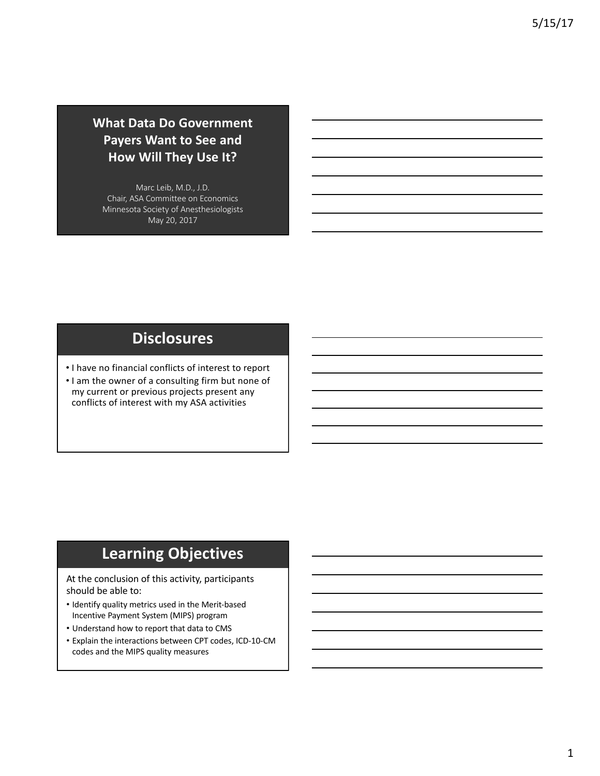## **What Data Do Government Payers Want to See and How Will They Use It?**

Marc Leib, M.D., J.D. Chair, ASA Committee on Economics Minnesota Society of Anesthesiologists May 20, 2017

# **Disclosures**

• I have no financial conflicts of interest to report

• I am the owner of a consulting firm but none of my current or previous projects present any conflicts of interest with my ASA activities

# **Learning Objectives**

At the conclusion of this activity, participants should be able to:

- Identify quality metrics used in the Merit-based Incentive Payment System (MIPS) program
- Understand how to report that data to CMS
- Explain the interactions between CPT codes, ICD-10-CM codes and the MIPS quality measures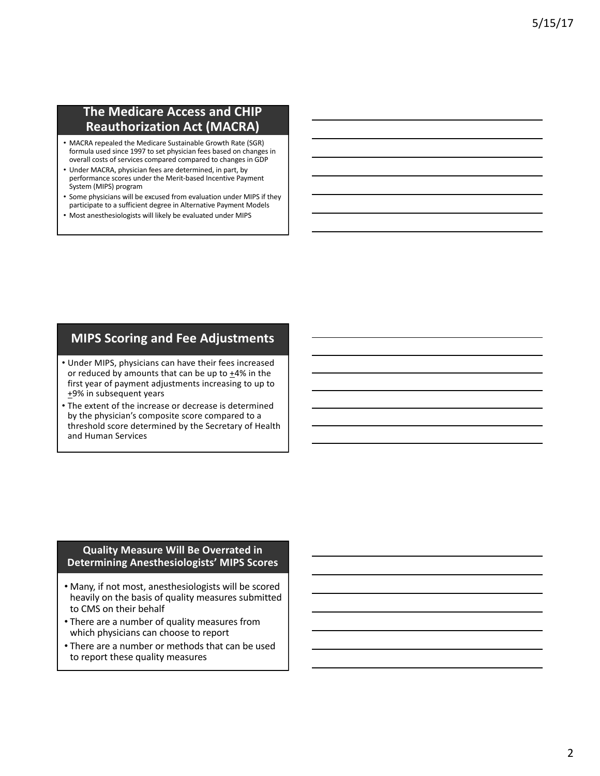### **The Medicare Access and CHIP Reauthorization Act (MACRA)**

- MACRA repealed the Medicare Sustainable Growth Rate (SGR) formula used since 1997 to set physician fees based on changes in overall costs of services compared compared to changes in GDP
- Under MACRA, physician fees are determined, in part, by performance scores under the Merit-based Incentive Payment System (MIPS) program
- Some physicians will be excused from evaluation under MIPS if they participate to a sufficient degree in Alternative Payment Models
- Most anesthesiologists will likely be evaluated under MIPS

### **MIPS Scoring and Fee Adjustments**

- Under MIPS, physicians can have their fees increased or reduced by amounts that can be up to  $+4%$  in the first year of payment adjustments increasing to up to  $+9%$  in subsequent years
- The extent of the increase or decrease is determined by the physician's composite score compared to a threshold score determined by the Secretary of Health and Human Services

### **Quality Measure Will Be Overrated in Determining Anesthesiologists' MIPS Scores**

- Many, if not most, anesthesiologists will be scored heavily on the basis of quality measures submitted to CMS on their behalf
- There are a number of quality measures from which physicians can choose to report
- There are a number or methods that can be used to report these quality measures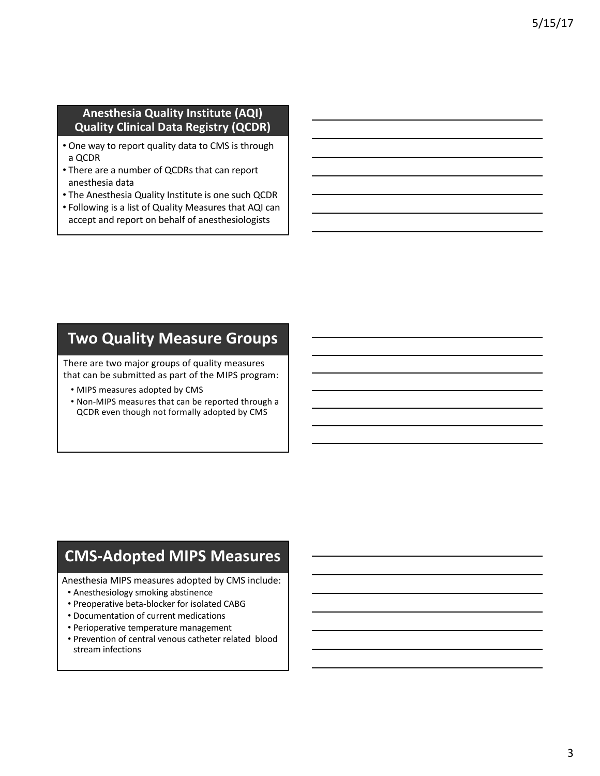### **Anesthesia Quality Institute (AQI) Quality Clinical Data Registry (QCDR)**

- One way to report quality data to CMS is through a QCDR
- There are a number of QCDRs that can report anesthesia data
- The Anesthesia Quality Institute is one such QCDR
- Following is a list of Quality Measures that AQI can accept and report on behalf of anesthesiologists

## **Two Quality Measure Groups**

There are two major groups of quality measures that can be submitted as part of the MIPS program:

- MIPS measures adopted by CMS
- Non-MIPS measures that can be reported through a QCDR even though not formally adopted by CMS

# **CMS-Adopted MIPS Measures**

Anesthesia MIPS measures adopted by CMS include:

- Anesthesiology smoking abstinence
- Preoperative beta-blocker for isolated CABG
- Documentation of current medications
- Perioperative temperature management
- Prevention of central venous catheter related blood stream infections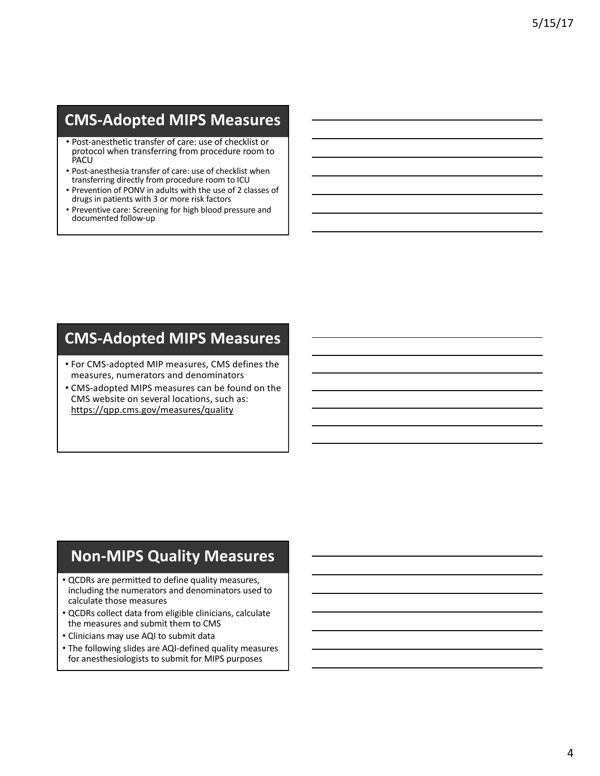# **CMS-Adopted MIPS Measures**

- Post-anesthetic transfer of care: use of checklist or protocol when transferring from procedure room to PACU
- Post-anesthesia transfer of care: use of checklist when transferring directly from procedure room to ICU
- Prevention of PONV in adults with the use of 2 classes of drugs in patients with 3 or more risk factors
- Preventive care: Screening for high blood pressure and documented follow-up

# **CMS-Adopted MIPS Measures**

- For CMS-adopted MIP measures, CMS defines the measures, numerators and denominators
- CMS-adopted MIPS measures can be found on the CMS website on several locations, such as: https://qpp.cms.gov/measures/quality

# **Non-MIPS Quality Measures**

- QCDRs are permitted to define quality measures, including the numerators and denominators used to calculate those measures
- QCDRs collect data from eligible clinicians, calculate the measures and submit them to CMS
- Clinicians may use AQI to submit data
- The following slides are AQI-defined quality measures for anesthesiologists to submit for MIPS purposes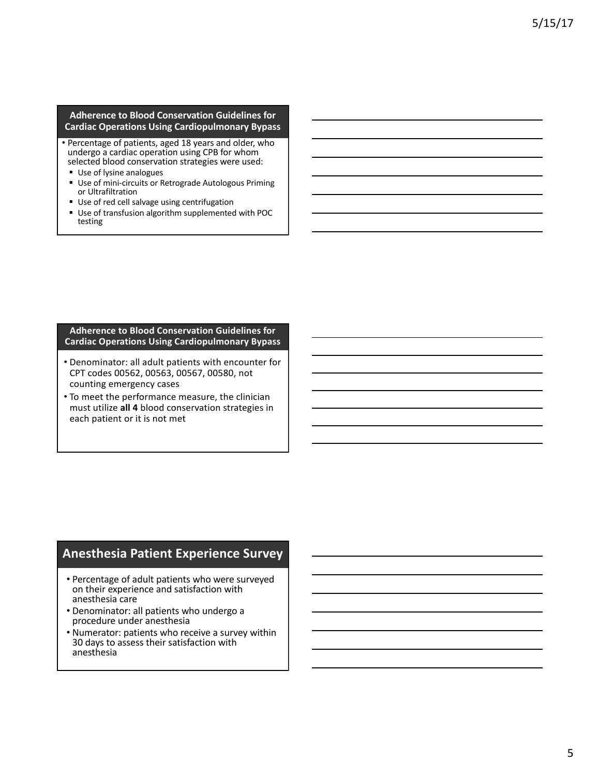#### **Adherence to Blood Conservation Guidelines for Cardiac Operations Using Cardiopulmonary Bypass**

- Percentage of patients, aged 18 years and older, who undergo a cardiac operation using CPB for whom selected blood conservation strategies were used:
- Use of lysine analogues
- Use of mini-circuits or Retrograde Autologous Priming or Ultrafiltration
- Use of red cell salvage using centrifugation
- Use of transfusion algorithm supplemented with POC testing

#### **Adherence to Blood Conservation Guidelines for Cardiac Operations Using Cardiopulmonary Bypass**

- Denominator: all adult patients with encounter for CPT codes 00562, 00563, 00567, 00580, not counting emergency cases
- To meet the performance measure, the clinician must utilize all 4 blood conservation strategies in each patient or it is not met

## **Anesthesia Patient Experience Survey**

- Percentage of adult patients who were surveyed on their experience and satisfaction with anesthesia care
- Denominator: all patients who undergo a procedure under anesthesia
- Numerator: patients who receive a survey within 30 days to assess their satisfaction with anesthesia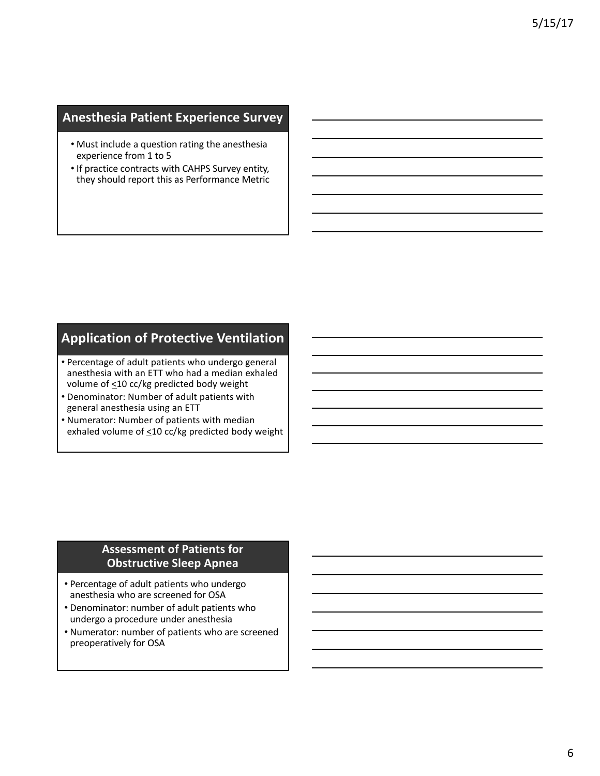## **Anesthesia Patient Experience Survey**

- Must include a question rating the anesthesia experience from 1 to 5
- If practice contracts with CAHPS Survey entity, they should report this as Performance Metric

## **Application of Protective Ventilation**

- Percentage of adult patients who undergo general anesthesia with an ETT who had a median exhaled volume of  $\leq$ 10 cc/kg predicted body weight
- Denominator: Number of adult patients with general anesthesia using an ETT
- Numerator: Number of patients with median exhaled volume of <10 cc/kg predicted body weight

### **Assessment of Patients for Obstructive Sleep Apnea**

- Percentage of adult patients who undergo anesthesia who are screened for OSA
- Denominator: number of adult patients who undergo a procedure under anesthesia
- Numerator: number of patients who are screened preoperatively for OSA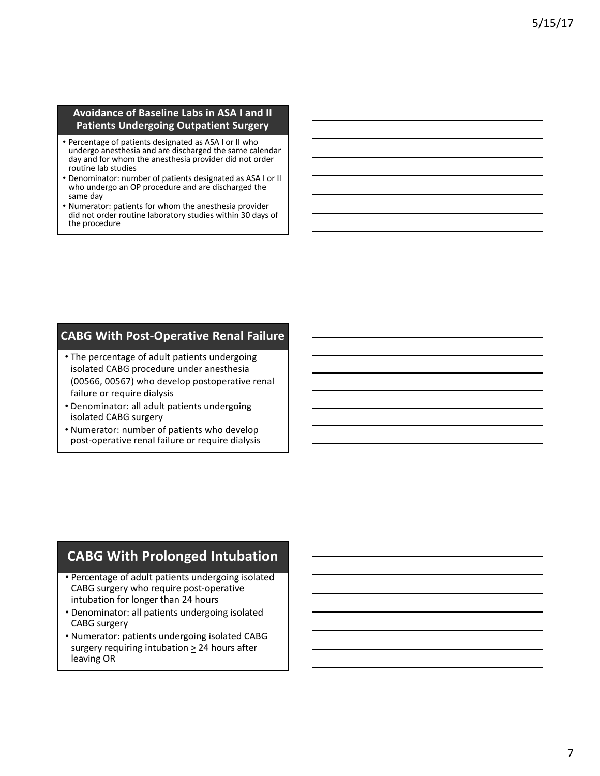#### **Avoidance of Baseline Labs in ASA I and II Patients Undergoing Outpatient Surgery**

- Percentage of patients designated as ASA I or II who undergo anesthesia and are discharged the same calendar day and for whom the anesthesia provider did not order routine lab studies
- Denominator: number of patients designated as ASA I or II who undergo an OP procedure and are discharged the same day
- Numerator: patients for whom the anesthesia provider did not order routine laboratory studies within 30 days of the procedure

### **CABG With Post-Operative Renal Failure**

- The percentage of adult patients undergoing isolated CABG procedure under anesthesia (00566, 00567) who develop postoperative renal failure or require dialysis
- Denominator: all adult patients undergoing isolated CABG surgery
- Numerator: number of patients who develop post-operative renal failure or require dialysis

## **CABG With Prolonged Intubation**

- Percentage of adult patients undergoing isolated CABG surgery who require post-operative intubation for longer than 24 hours
- Denominator: all patients undergoing isolated CABG surgery
- Numerator: patients undergoing isolated CABG surgery requiring intubation > 24 hours after leaving OR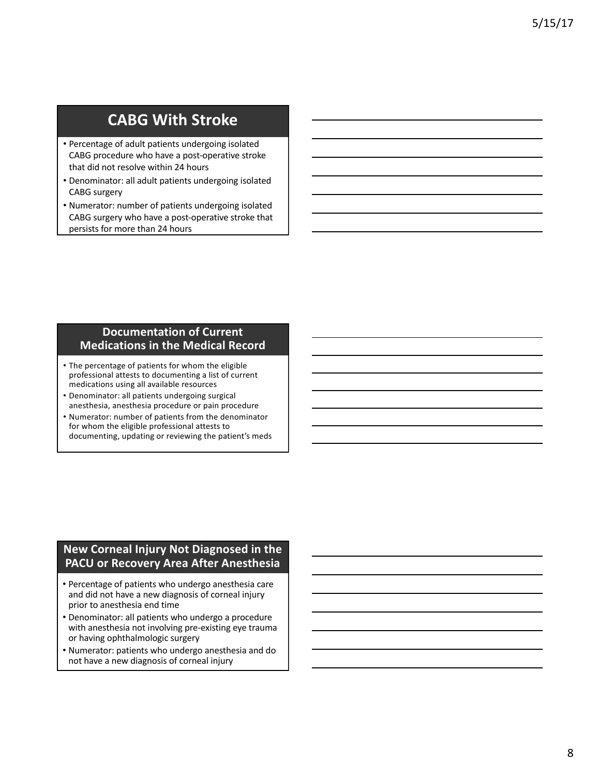# **CABG With Stroke**

- Percentage of adult patients undergoing isolated CABG procedure who have a post-operative stroke that did not resolve within 24 hours
- Denominator: all adult patients undergoing isolated CABG surgery
- Numerator: number of patients undergoing isolated CABG surgery who have a post-operative stroke that persists for more than 24 hours

### **Documentation of Current Medications in the Medical Record**

- The percentage of patients for whom the eligible professional attests to documenting a list of current medications using all available resources
- Denominator: all patients undergoing surgical anesthesia, anesthesia procedure or pain procedure
- Numerator: number of patients from the denominator for whom the eligible professional attests to documenting, updating or reviewing the patient's meds

### **New Corneal Injury Not Diagnosed in the PACU** or Recovery Area After Anesthesia

- Percentage of patients who undergo anesthesia care and did not have a new diagnosis of corneal injury prior to anesthesia end time
- Denominator: all patients who undergo a procedure with anesthesia not involving pre-existing eye trauma or having ophthalmologic surgery
- Numerator: patients who undergo anesthesia and do not have a new diagnosis of corneal injury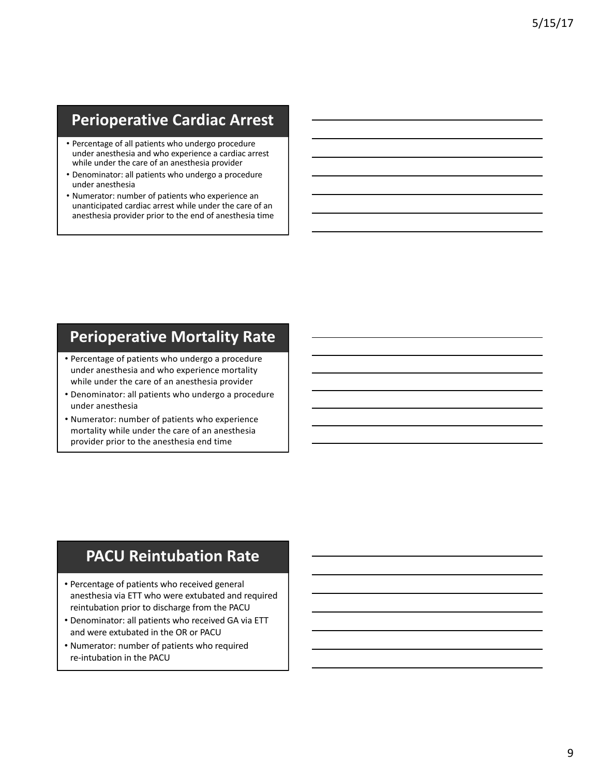# **Perioperative Cardiac Arrest**

- Percentage of all patients who undergo procedure under anesthesia and who experience a cardiac arrest while under the care of an anesthesia provider
- Denominator: all patients who undergo a procedure under anesthesia
- Numerator: number of patients who experience an unanticipated cardiac arrest while under the care of an anesthesia provider prior to the end of anesthesia time

# **Perioperative Mortality Rate**

- Percentage of patients who undergo a procedure under anesthesia and who experience mortality while under the care of an anesthesia provider
- Denominator: all patients who undergo a procedure under anesthesia
- Numerator: number of patients who experience mortality while under the care of an anesthesia provider prior to the anesthesia end time

# **PACU Reintubation Rate**

- Percentage of patients who received general anesthesia via ETT who were extubated and required reintubation prior to discharge from the PACU
- Denominator: all patients who received GA via ETT and were extubated in the OR or PACU
- Numerator: number of patients who required re-intubation in the PACU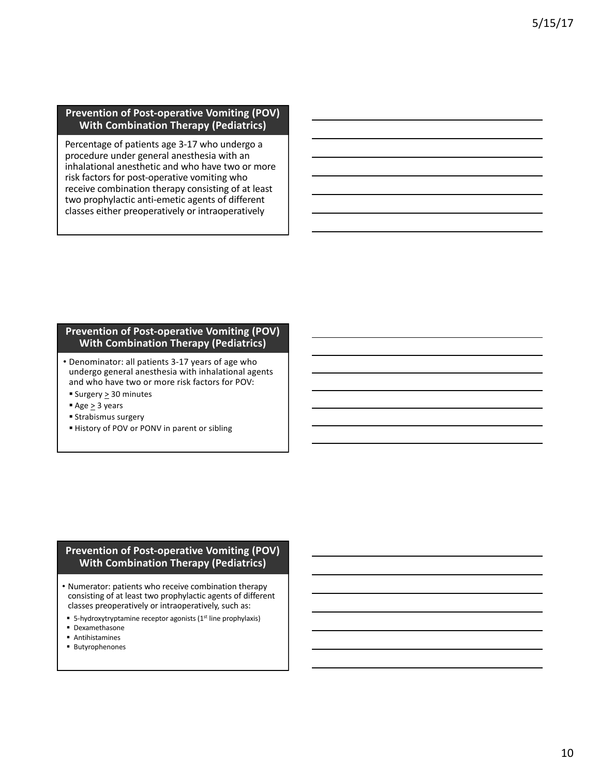#### **Prevention of Post-operative Vomiting (POV) With Combination Therapy (Pediatrics)**

Percentage of patients age 3-17 who undergo a procedure under general anesthesia with an inhalational anesthetic and who have two or more risk factors for post-operative vomiting who receive combination therapy consisting of at least two prophylactic anti-emetic agents of different classes either preoperatively or intraoperatively

#### **Prevention of Post-operative Vomiting (POV) With Combination Therapy (Pediatrics)**

- Denominator: all patients 3-17 years of age who undergo general anesthesia with inhalational agents and who have two or more risk factors for POV:
- Surgery > 30 minutes
- $\rightharpoonup$  Age > 3 years
- Strabismus surgery
- History of POV or PONV in parent or sibling

#### **Prevention of Post-operative Vomiting (POV) With Combination Therapy (Pediatrics)**

- Numerator: patients who receive combination therapy consisting of at least two prophylactic agents of different classes preoperatively or intraoperatively, such as:
- 5-hydroxytryptamine receptor agonists  $(1<sup>st</sup>$  line prophylaxis)
- § Dexamethasone
- § Antihistamines
- § Butyrophenones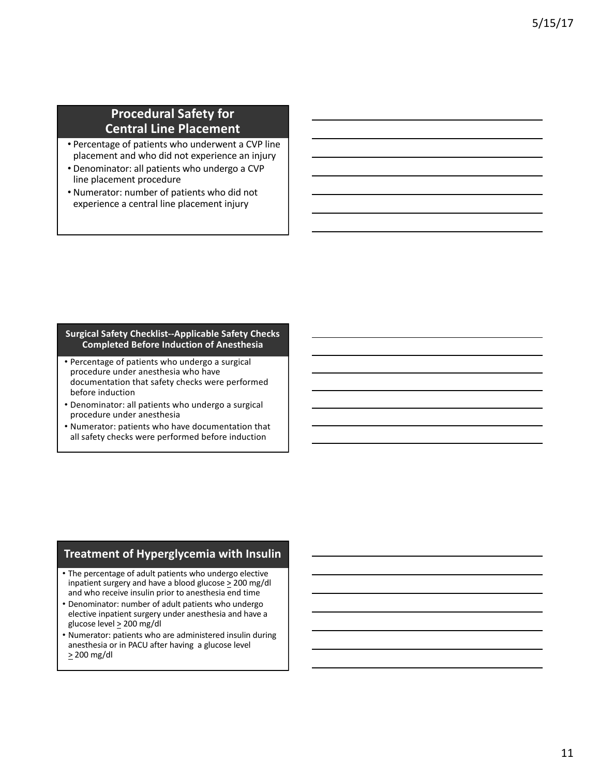## **Procedural Safety for Central Line Placement**

- Percentage of patients who underwent a CVP line placement and who did not experience an injury
- Denominator: all patients who undergo a CVP line placement procedure
- Numerator: number of patients who did not experience a central line placement injury

#### **Surgical Safety Checklist--Applicable Safety Checks Completed Before Induction of Anesthesia**

- Percentage of patients who undergo a surgical procedure under anesthesia who have documentation that safety checks were performed before induction
- Denominator: all patients who undergo a surgical procedure under anesthesia
- Numerator: patients who have documentation that all safety checks were performed before induction

### **Treatment of Hyperglycemia with Insulin**

- The percentage of adult patients who undergo elective inpatient surgery and have a blood glucose  $\geq$  200 mg/dl and who receive insulin prior to anesthesia end time
- Denominator: number of adult patients who undergo elective inpatient surgery under anesthesia and have a glucose level  $\geq 200$  mg/dl
- Numerator: patients who are administered insulin during anesthesia or in PACU after having a glucose level  $> 200$  mg/dl